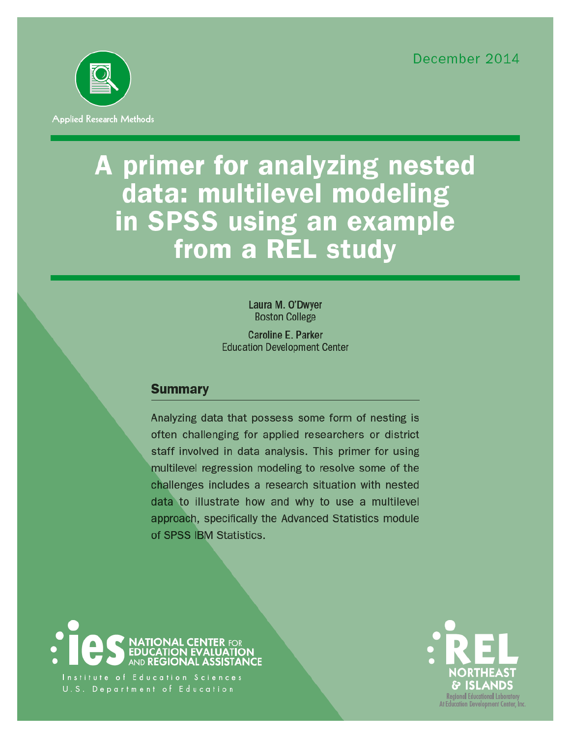December 2014



# A primer for analyzing nested data: multilevel modeling in SPSS using an example from a REL study

Laura M. O'Dwyer **Boston College** 

**Caroline E. Parker Education Development Center** 

# **Summary**

Analyzing data that possess some form of nesting is often challenging for applied researchers or district staff involved in data analysis. This primer for using multilevel regression modeling to resolve some of the challenges includes a research situation with nested data to illustrate how and why to use a multilevel approach, specifically the Advanced Statistics module of SPSS IBM Statistics.



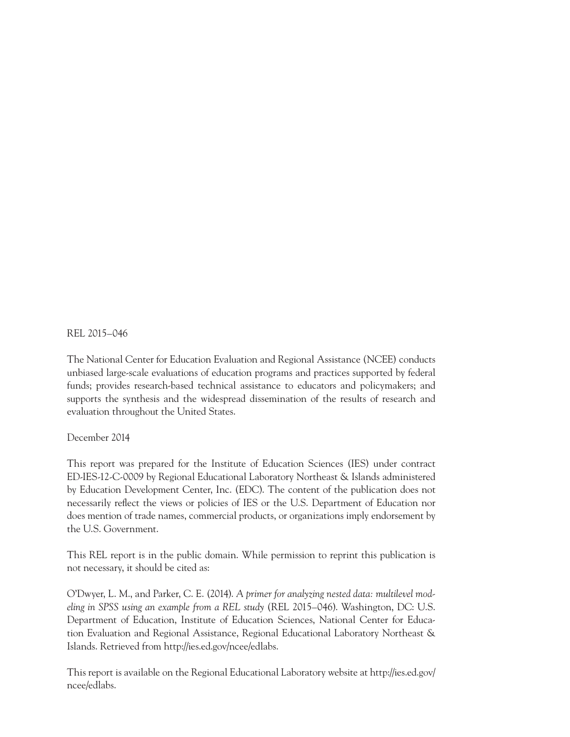REL 2015–046

The National Center for Education Evaluation and Regional Assistance (NCEE) conducts unbiased large-scale evaluations of education programs and practices supported by federal funds; provides research-based technical assistance to educators and policymakers; and supports the synthesis and the widespread dissemination of the results of research and evaluation throughout the United States.

## December 2014

This report was prepared for the Institute of Education Sciences (IES) under contract ED-IES-12-C-0009 by Regional Educational Laboratory Northeast & Islands administered by Education Development Center, Inc. (EDC). The content of the publication does not necessarily reflect the views or policies of IES or the U.S. Department of Education nor does mention of trade names, commercial products, or organizations imply endorsement by the U.S. Government.

This REL report is in the public domain. While permission to reprint this publication is not necessary, it should be cited as:

O'Dwyer, L. M., and Parker, C. E. (2014). *A primer for analyzing nested data: multilevel modeling in SPSS using an example from a REL study* (REL 2015–046). Washington, DC: U.S. Department of Education, Institute of Education Sciences, National Center for Education Evaluation and Regional Assistance, Regional Educational Laboratory Northeast & Islands. Retrieved from http://ies.ed.gov/ncee/edlabs.

This report is available on the Regional Educational Laboratory website at http://ies.ed.gov/ ncee/edlabs.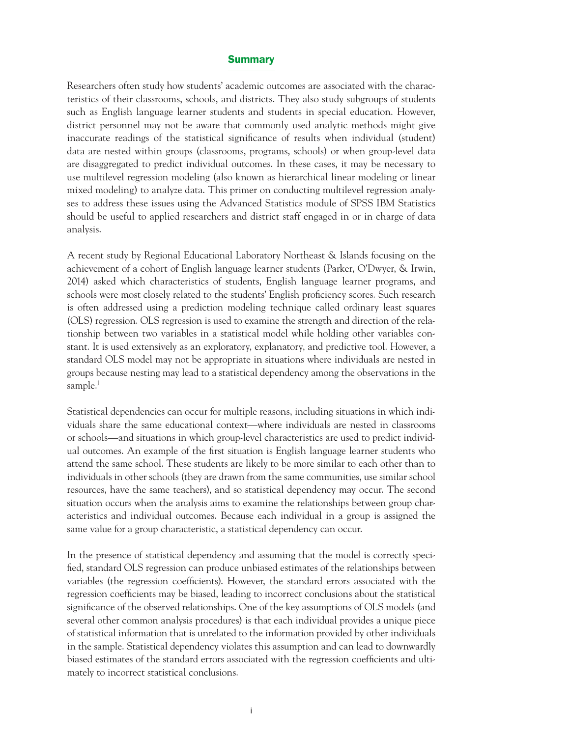#### **Summary**

Researchers often study how students' academic outcomes are associated with the characteristics of their classrooms, schools, and districts. They also study subgroups of students such as English language learner students and students in special education. However, district personnel may not be aware that commonly used analytic methods might give inaccurate readings of the statistical significance of results when individual (student) data are nested within groups (classrooms, programs, schools) or when group-level data are disaggregated to predict individual outcomes. In these cases, it may be necessary to use multilevel regression modeling (also known as hierarchical linear modeling or linear mixed modeling) to analyze data. This primer on conducting multilevel regression analyses to address these issues using the Advanced Statistics module of SPSS IBM Statistics should be useful to applied researchers and district staff engaged in or in charge of data analysis.

A recent study by Regional Educational Laboratory Northeast & Islands focusing on the achievement of a cohort of English language learner students (Parker, O'Dwyer, & Irwin, 2014) asked which characteristics of students, English language learner programs, and schools were most closely related to the students' English proficiency scores. Such research is often addressed using a prediction modeling technique called ordinary least squares (OLS) regression. OLS regression is used to examine the strength and direction of the relationship between two variables in a statistical model while holding other variables constant. It is used extensively as an exploratory, explanatory, and predictive tool. However, a standard OLS model may not be appropriate in situations where individuals are nested in groups because nesting may lead to a statistical dependency among the observations in the sample.<sup>1</sup>

Statistical dependencies can occur for multiple reasons, including situations in which individuals share the same educational context—where individuals are nested in classrooms or schools—and situations in which group-level characteristics are used to predict individual outcomes. An example of the first situation is English language learner students who attend the same school. These students are likely to be more similar to each other than to individuals in other schools (they are drawn from the same communities, use similar school resources, have the same teachers), and so statistical dependency may occur. The second situation occurs when the analysis aims to examine the relationships between group characteristics and individual outcomes. Because each individual in a group is assigned the same value for a group characteristic, a statistical dependency can occur.

In the presence of statistical dependency and assuming that the model is correctly specified, standard OLS regression can produce unbiased estimates of the relationships between variables (the regression coefficients). However, the standard errors associated with the regression coefficients may be biased, leading to incorrect conclusions about the statistical significance of the observed relationships. One of the key assumptions of OLS models (and several other common analysis procedures) is that each individual provides a unique piece of statistical information that is unrelated to the information provided by other individuals in the sample. Statistical dependency violates this assumption and can lead to downwardly biased estimates of the standard errors associated with the regression coefficients and ultimately to incorrect statistical conclusions.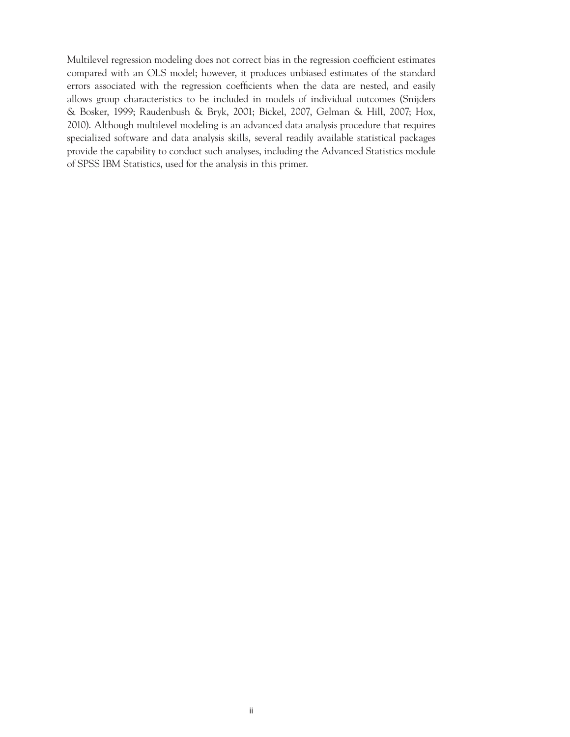Multilevel regression modeling does not correct bias in the regression coefficient estimates compared with an OLS model; however, it produces unbiased estimates of the standard errors associated with the regression coefficients when the data are nested, and easily allows group characteristics to be included in models of individual outcomes (Snijders & Bosker, 1999; Raudenbush & Bryk, 2001; Bickel, 2007, Gelman & Hill, 2007; Hox, 2010). Although multilevel modeling is an advanced data analysis procedure that requires specialized software and data analysis skills, several readily available statistical packages provide the capability to conduct such analyses, including the Advanced Statistics module of SPSS IBM Statistics, used for the analysis in this primer.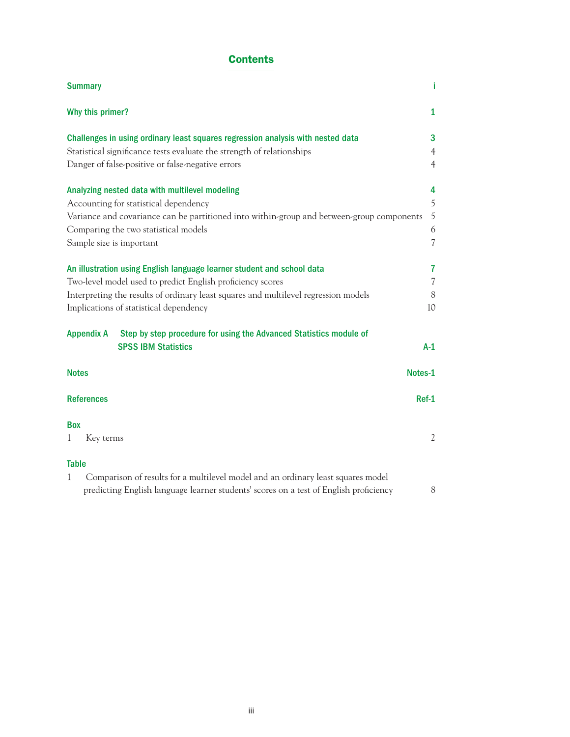# **Contents**

| <b>Summary</b>                                                                                                                                                                            | i                        |
|-------------------------------------------------------------------------------------------------------------------------------------------------------------------------------------------|--------------------------|
| Why this primer?                                                                                                                                                                          | $\mathbf{1}$             |
| Challenges in using ordinary least squares regression analysis with nested data                                                                                                           | 3                        |
| Statistical significance tests evaluate the strength of relationships                                                                                                                     | $\overline{4}$           |
| Danger of false-positive or false-negative errors                                                                                                                                         | $\overline{4}$           |
| Analyzing nested data with multilevel modeling                                                                                                                                            | 4                        |
| Accounting for statistical dependency                                                                                                                                                     | 5                        |
| Variance and covariance can be partitioned into within-group and between-group components                                                                                                 | 5                        |
| Comparing the two statistical models                                                                                                                                                      | 6                        |
| Sample size is important                                                                                                                                                                  | $\overline{\mathcal{L}}$ |
| An illustration using English language learner student and school data                                                                                                                    | 7                        |
| Two-level model used to predict English proficiency scores                                                                                                                                | $\overline{\mathcal{U}}$ |
| Interpreting the results of ordinary least squares and multilevel regression models                                                                                                       | 8                        |
| Implications of statistical dependency                                                                                                                                                    | 10                       |
| Step by step procedure for using the Advanced Statistics module of<br><b>Appendix A</b><br><b>SPSS IBM Statistics</b>                                                                     | $A-1$                    |
| <b>Notes</b>                                                                                                                                                                              | Notes-1                  |
| <b>References</b>                                                                                                                                                                         | $Ref-1$                  |
| <b>Box</b>                                                                                                                                                                                |                          |
| Key terms<br>1                                                                                                                                                                            | $\mathfrak{2}$           |
| <b>Table</b>                                                                                                                                                                              |                          |
| Comparison of results for a multilevel model and an ordinary least squares model<br>$\mathbf{1}$<br>predicting English language learner students' scores on a test of English proficiency | 8                        |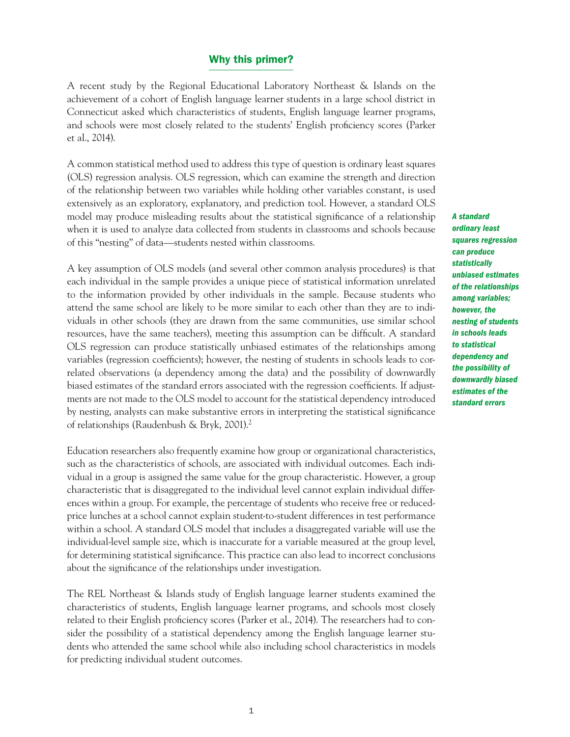#### Why this primer?

A recent study by the Regional Educational Laboratory Northeast & Islands on the achievement of a cohort of English language learner students in a large school district in Connecticut asked which characteristics of students, English language learner programs, and schools were most closely related to the students' English proficiency scores (Parker et al., 2014).

A common statistical method used to address this type of question is ordinary least squares (OLS) regression analysis. OLS regression, which can examine the strength and direction of the relationship between two variables while holding other variables constant, is used extensively as an exploratory, explanatory, and prediction tool. However, a standard OLS model may produce misleading results about the statistical significance of a relationship when it is used to analyze data collected from students in classrooms and schools because of this "nesting" of data—students nested within classrooms.

A key assumption of OLS models (and several other common analysis procedures) is that each individual in the sample provides a unique piece of statistical information unrelated to the information provided by other individuals in the sample. Because students who attend the same school are likely to be more similar to each other than they are to individuals in other schools (they are drawn from the same communities, use similar school resources, have the same teachers), meeting this assumption can be difficult. A standard OLS regression can produce statistically unbiased estimates of the relationships among variables (regression coefficients); however, the nesting of students in schools leads to correlated observations (a dependency among the data) and the possibility of downwardly biased estimates of the standard errors associated with the regression coefficients. If adjustments are not made to the OLS model to account for the statistical dependency introduced by nesting, analysts can make substantive errors in interpreting the statistical significance of relationships (Raudenbush & Bryk, 2001).2

Education researchers also frequently examine how group or organizational characteristics, such as the characteristics of schools, are associated with individual outcomes. Each individual in a group is assigned the same value for the group characteristic. However, a group characteristic that is disaggregated to the individual level cannot explain individual differences within a group. For example, the percentage of students who receive free or reducedprice lunches at a school cannot explain student-to-student differences in test performance within a school. A standard OLS model that includes a disaggregated variable will use the individual-level sample size, which is inaccurate for a variable measured at the group level, for determining statistical significance. This practice can also lead to incorrect conclusions about the significance of the relationships under investigation.

The REL Northeast & Islands study of English language learner students examined the characteristics of students, English language learner programs, and schools most closely related to their English proficiency scores (Parker et al., 2014). The researchers had to consider the possibility of a statistical dependency among the English language learner students who attended the same school while also including school characteristics in models for predicting individual student outcomes.

*A standard ordinary least squares regression can produce statistically unbiased estimates of the relationships among variables; however, the nesting of students in schools leads to statistical dependency and the possibility of downwardly biased estimates of the standard errors*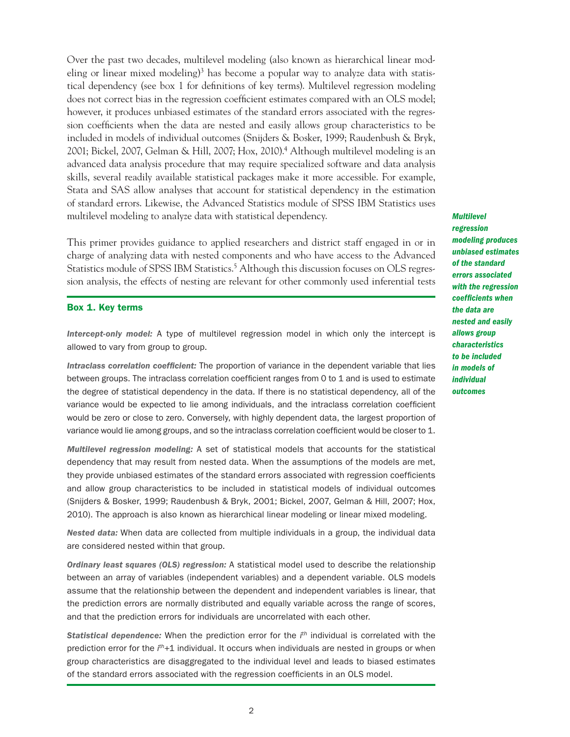Over the past two decades, multilevel modeling (also known as hierarchical linear modeling or linear mixed modeling<sup>3</sup> has become a popular way to analyze data with statistical dependency (see box 1 for definitions of key terms). Multilevel regression modeling does not correct bias in the regression coefficient estimates compared with an OLS model; however, it produces unbiased estimates of the standard errors associated with the regression coefficients when the data are nested and easily allows group characteristics to be included in models of individual outcomes (Snijders & Bosker, 1999; Raudenbush & Bryk, 2001; Bickel, 2007, Gelman & Hill, 2007; Hox, 2010).4 Although multilevel modeling is an advanced data analysis procedure that may require specialized software and data analysis skills, several readily available statistical packages make it more accessible. For example, Stata and SAS allow analyses that account for statistical dependency in the estimation of standard errors. Likewise, the Advanced Statistics module of SPSS IBM Statistics uses multilevel modeling to analyze data with statistical dependency.

Statistics module of SPSS IBM Statistics.<sup>5</sup> Although this discussion focuses on OLS regres-This primer provides guidance to applied researchers and district staff engaged in or in charge of analyzing data with nested components and who have access to the Advanced sion analysis, the effects of nesting are relevant for other commonly used inferential tests

#### Box 1. Key terms

*Intercept-only model:* A type of multilevel regression model in which only the intercept is allowed to vary from group to group.

*Intraclass correlation coefficient:* The proportion of variance in the dependent variable that lies between groups. The intraclass correlation coefficient ranges from 0 to 1 and is used to estimate the degree of statistical dependency in the data. If there is no statistical dependency, all of the variance would be expected to lie among individuals, and the intraclass correlation coefficient would be zero or close to zero. Conversely, with highly dependent data, the largest proportion of variance would lie among groups, and so the intraclass correlation coefficient would be closer to 1.

*Multilevel regression modeling:* A set of statistical models that accounts for the statistical dependency that may result from nested data. When the assumptions of the models are met, they provide unbiased estimates of the standard errors associated with regression coefficients and allow group characteristics to be included in statistical models of individual outcomes (Snijders & Bosker, 1999; Raudenbush & Bryk, 2001; Bickel, 2007, Gelman & Hill, 2007; Hox, 2010). The approach is also known as hierarchical linear modeling or linear mixed modeling.

*Nested data:* When data are collected from multiple individuals in a group, the individual data are considered nested within that group.

*Ordinary least squares (OLS) regression:* A statistical model used to describe the relationship between an array of variables (independent variables) and a dependent variable. OLS models assume that the relationship between the dependent and independent variables is linear, that the prediction errors are normally distributed and equally variable across the range of scores, and that the prediction errors for individuals are uncorrelated with each other.

*Statistical dependence:* When the prediction error for the *i th* individual is correlated with the prediction error for the *i th*+1 individual. It occurs when individuals are nested in groups or when group characteristics are disaggregated to the individual level and leads to biased estimates of the standard errors associated with the regression coefficients in an OLS model.

*Multilevel regression modeling produces unbiased estimates of the standard errors associated with the regression coefficients when the data are nested and easily allows group characteristics to be included in models of individual outcomes*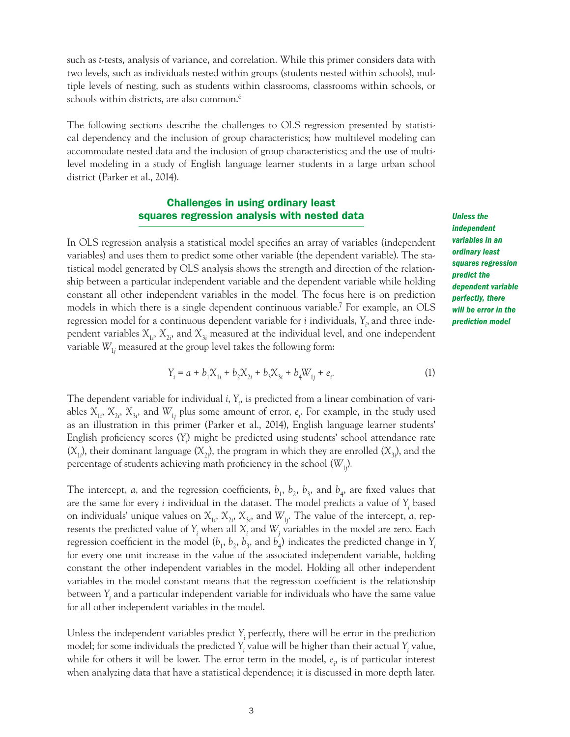such as *t*-tests, analysis of variance, and correlation. While this primer considers data with two levels, such as individuals nested within groups (students nested within schools), multiple levels of nesting, such as students within classrooms, classrooms within schools, or schools within districts, are also common.<sup>6</sup>

The following sections describe the challenges to OLS regression presented by statistical dependency and the inclusion of group characteristics; how multilevel modeling can accommodate nested data and the inclusion of group characteristics; and the use of multilevel modeling in a study of English language learner students in a large urban school district (Parker et al., 2014).

### Challenges in using ordinary least squares regression analysis with nested data

In OLS regression analysis a statistical model specifies an array of variables (independent variables) and uses them to predict some other variable (the dependent variable). The statistical model generated by OLS analysis shows the strength and direction of the relationship between a particular independent variable and the dependent variable while holding constant all other independent variables in the model. The focus here is on prediction models in which there is a single dependent continuous variable.7 For example, an OLS regression model for a continuous dependent variable for *i* individuals, *Yi* , and three independent variables  $X_{1i}$ ,  $X_{2i}$ , and  $X_{3i}$  measured at the individual level, and one independent variable  $W_{1j}$  measured at the group level takes the following form:

$$
Y_i = a + b_1 X_{1i} + b_2 X_{2i} + b_3 X_{3i} + b_4 W_{1j} + e_i.
$$
 (1)

The dependent variable for individual *i*,  $Y_i$ , is predicted from a linear combination of variables  $X_{1i}$ ,  $X_{2i}$ ,  $X_{3i}$ , and  $W_{1j}$  plus some amount of error,  $e_i$ . For example, in the study used as an illustration in this primer (Parker et al., 2014), English language learner students' English proficiency scores (*Yi* ) might be predicted using students' school attendance rate  $(X_{1i})$ , their dominant language  $(X_{2i})$ , the program in which they are enrolled  $(X_{3i})$ , and the percentage of students achieving math proficiency in the school (*W*<sup>1</sup>*<sup>j</sup>* ).

The intercept, *a*, and the regression coefficients,  $b_1$ ,  $b_2$ ,  $b_3$ , and  $b_4$ , are fixed values that are the same for every *i* individual in the dataset. The model predicts a value of  $Y_i$  based on individuals' unique values on  $X_{1i}$ ,  $X_{2i}$ ,  $X_{3i}$ , and  $W_{1j}$ . The value of the intercept, *a*, represents the predicted value of  $Y_i$  when all  $X_i$  and  $W_j$  variables in the model are zero. Each regression coefficient in the model  $(b_1, b_2, b_3,$  and  $b_4$ ) indicates the predicted change in  $Y_i$ for every one unit increase in the value of the associated independent variable, holding constant the other independent variables in the model. Holding all other independent variables in the model constant means that the regression coefficient is the relationship between *Yi* and a particular independent variable for individuals who have the same value for all other independent variables in the model.

Unless the independent variables predict *Yi* perfectly, there will be error in the prediction model; for some individuals the predicted  $Y_i$  value will be higher than their actual  $Y_i$  value, while for others it will be lower. The error term in the model,  $e_i$ , is of particular interest when analyzing data that have a statistical dependence; it is discussed in more depth later.

*Unless the independent variables in an ordinary least squares regression predict the dependent variable perfectly, there will be error in the prediction model*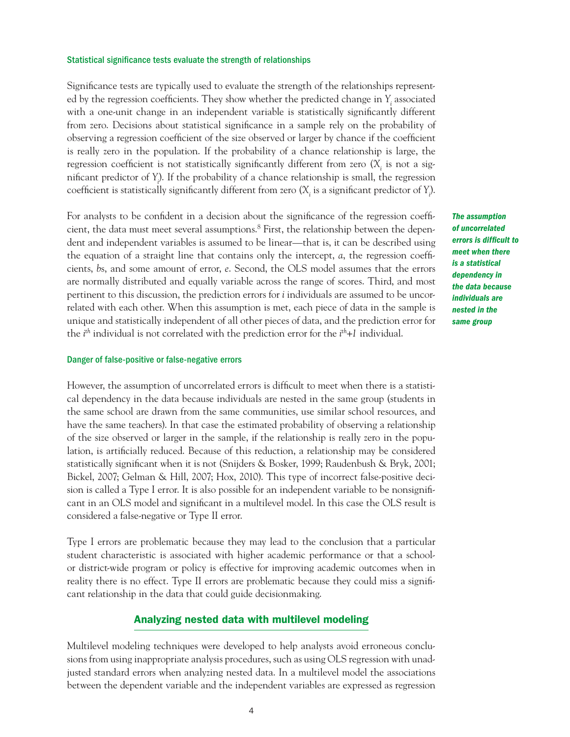#### Statistical significance tests evaluate the strength of relationships

Significance tests are typically used to evaluate the strength of the relationships represented by the regression coefficients. They show whether the predicted change in *Yi* associated with a one-unit change in an independent variable is statistically significantly different from zero. Decisions about statistical significance in a sample rely on the probability of observing a regression coefficient of the size observed or larger by chance if the coefficient is really zero in the population. If the probability of a chance relationship is large, the regression coefficient is not statistically significantly different from zero  $(X<sub>i</sub>$  is not a significant predictor of *Yi* ). If the probability of a chance relationship is small, the regression coefficient is statistically significantly different from zero  $(X_i$  is a significant predictor of  $Y_i$ ).

For analysts to be confident in a decision about the significance of the regression coefficient, the data must meet several assumptions.8 First, the relationship between the dependent and independent variables is assumed to be linear—that is, it can be described using the equation of a straight line that contains only the intercept, *a*, the regression coefficients, *b*s, and some amount of error, *e*. Second, the OLS model assumes that the errors are normally distributed and equally variable across the range of scores. Third, and most pertinent to this discussion, the prediction errors for *i* individuals are assumed to be uncorrelated with each other. When this assumption is met, each piece of data in the sample is unique and statistically independent of all other pieces of data, and the prediction error for the *i th* individual is not correlated with the prediction error for the *i th+1* individual.

#### Danger of false-positive or false-negative errors

However, the assumption of uncorrelated errors is difficult to meet when there is a statistical dependency in the data because individuals are nested in the same group (students in the same school are drawn from the same communities, use similar school resources, and have the same teachers). In that case the estimated probability of observing a relationship of the size observed or larger in the sample, if the relationship is really zero in the population, is artificially reduced. Because of this reduction, a relationship may be considered statistically significant when it is not (Snijders & Bosker, 1999; Raudenbush & Bryk, 2001; Bickel, 2007; Gelman & Hill, 2007; Hox, 2010). This type of incorrect false-positive decision is called a Type I error. It is also possible for an independent variable to be nonsignificant in an OLS model and significant in a multilevel model. In this case the OLS result is considered a false-negative or Type II error.

Type I errors are problematic because they may lead to the conclusion that a particular student characteristic is associated with higher academic performance or that a schoolor district-wide program or policy is effective for improving academic outcomes when in reality there is no effect. Type II errors are problematic because they could miss a significant relationship in the data that could guide decisionmaking.

#### Analyzing nested data with multilevel modeling

Multilevel modeling techniques were developed to help analysts avoid erroneous conclusions from using inappropriate analysis procedures, such as using OLS regression with unadjusted standard errors when analyzing nested data. In a multilevel model the associations between the dependent variable and the independent variables are expressed as regression *The assumption of uncorrelated errors is difficult to meet when there is a statistical dependency in the data because individuals are nested in the same group*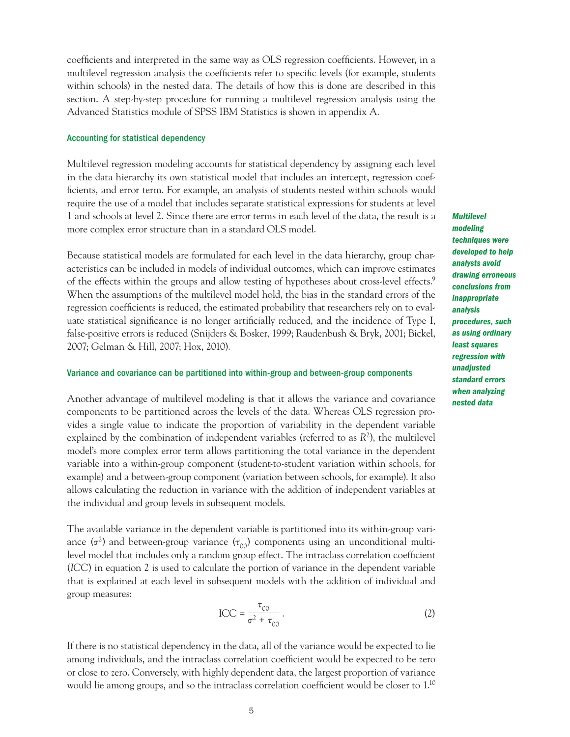coefficients and interpreted in the same way as OLS regression coefficients. However, in a multilevel regression analysis the coefficients refer to specific levels (for example, students within schools) in the nested data. The details of how this is done are described in this section. A step-by-step procedure for running a multilevel regression analysis using the Advanced Statistics module of SPSS IBM Statistics is shown in appendix A.

#### Accounting for statistical dependency

Multilevel regression modeling accounts for statistical dependency by assigning each level in the data hierarchy its own statistical model that includes an intercept, regression coefficients, and error term. For example, an analysis of students nested within schools would require the use of a model that includes separate statistical expressions for students at level 1 and schools at level 2. Since there are error terms in each level of the data, the result is a more complex error structure than in a standard OLS model.

Because statistical models are formulated for each level in the data hierarchy, group characteristics can be included in models of individual outcomes, which can improve estimates of the effects within the groups and allow testing of hypotheses about cross-level effects.9 When the assumptions of the multilevel model hold, the bias in the standard errors of the regression coefficients is reduced, the estimated probability that researchers rely on to evaluate statistical significance is no longer artificially reduced, and the incidence of Type I, false-positive errors is reduced (Snijders & Bosker, 1999; Raudenbush & Bryk, 2001; Bickel, 2007; Gelman & Hill, 2007; Hox, 2010).

#### Variance and covariance can be partitioned into within-group and between-group components

Another advantage of multilevel modeling is that it allows the variance and covariance components to be partitioned across the levels of the data. Whereas OLS regression provides a single value to indicate the proportion of variability in the dependent variable explained by the combination of independent variables (referred to as *R*<sup>2</sup> ), the multilevel model's more complex error term allows partitioning the total variance in the dependent variable into a within-group component (student-to-student variation within schools, for example) and a between-group component (variation between schools, for example). It also allows calculating the reduction in variance with the addition of independent variables at the individual and group levels in subsequent models.

The available variance in the dependent variable is partitioned into its within-group variance  $(\sigma^2)$  and between-group variance  $(\tau_{00})$  components using an unconditional multilevel model that includes only a random group effect. The intraclass correlation coefficient (*ICC*) in equation 2 is used to calculate the portion of variance in the dependent variable that is explained at each level in subsequent models with the addition of individual and group measures:

$$
\text{ICC} = \frac{\tau_{00}}{\sigma^2 + \tau_{00}} \,. \tag{2}
$$

If there is no statistical dependency in the data, all of the variance would be expected to lie among individuals, and the intraclass correlation coefficient would be expected to be zero or close to zero. Conversely, with highly dependent data, the largest proportion of variance would lie among groups, and so the intraclass correlation coefficient would be closer to 1.10 *Multilevel modeling techniques were developed to help analysts avoid drawing erroneous conclusions from inappropriate analysis procedures, such as using ordinary least squares regression with unadjusted standard errors when analyzing nested data*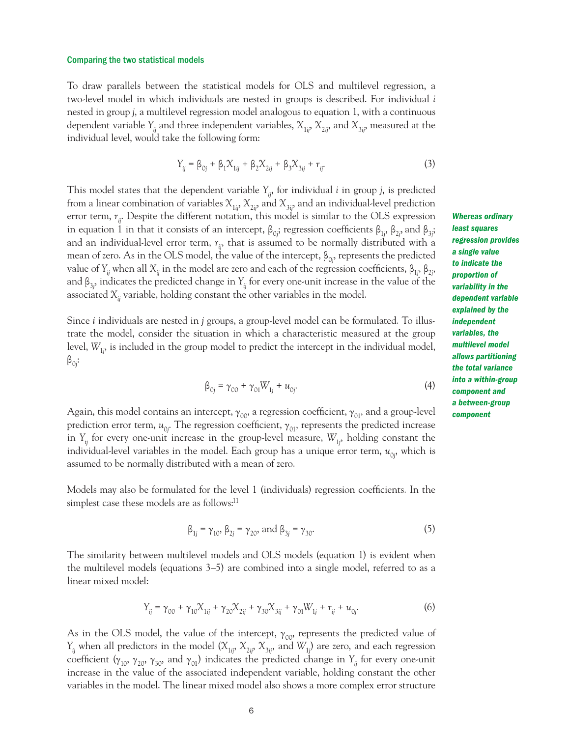#### Comparing the two statistical models

To draw parallels between the statistical models for OLS and multilevel regression, a two-level model in which individuals are nested in groups is described. For individual *i*  nested in group *j*, a multilevel regression model analogous to equation 1, with a continuous dependent variable  $Y_{ij}$  and three independent variables,  $X_{1ij}$ ,  $X_{2ij}$ , and  $X_{3ij}$ , measured at the individual level, would take the following form:

$$
Y_{ij} = \beta_{0j} + \beta_1 X_{1ij} + \beta_2 X_{2ij} + \beta_3 X_{3ij} + r_{ij}.
$$
 (3)

This model states that the dependent variable  $Y_{ij}$ , for individual *i* in group *j*, is predicted from a linear combination of variables  $X_{1ij}$ ,  $X_{2ij}$ , and  $X_{3ij}$ , and an individual-level prediction error term,  $r_{ii}$ . Despite the different notation, this model is similar to the OLS expression in equation 1 in that it consists of an intercept,  $\beta_{0j}$ ; regression coefficients  $\beta_{1j}$ ,  $\beta_{2j}$ , and  $\beta_{3j}$ ; and an individual-level error term,  $r_{ij}$ , that is assumed to be normally distributed with a mean of zero. As in the OLS model, the value of the intercept,  $\beta_{0j}$ , represents the predicted value of *Y<sub>ij</sub>* when all  $X_{ij}$  in the model are zero and each of the regression coefficients,  $β_{1j}$ ,  $β_{2j}$ , and β<sup>3</sup>*<sup>j</sup>* , indicates the predicted change in *Yij* for every one-unit increase in the value of the associated  $X_{ii}$  variable, holding constant the other variables in the model.

Since *i* individuals are nested in *j* groups, a group-level model can be formulated. To illustrate the model, consider the situation in which a characteristic measured at the group level,  $W_{1j}$  is included in the group model to predict the intercept in the individual model,  $\beta_{0j}$ :

$$
\beta_{0j} = \gamma_{00} + \gamma_{01} W_{1j} + u_{0j}.
$$
\n(4)

individual-level variables in the model. Each group has a unique error term,  $u_{0j}^{\phantom{\dag}},$  which is Again, this model contains an intercept,  $\gamma_{00}$ , a regression coefficient,  $\gamma_{01}$ , and a group-level prediction error term,  $u_{0j}$ . The regression coefficient,  $\gamma_{01}$ , represents the predicted increase in  $Y_{ij}$  for every one-unit increase in the group-level measure,  $W_{1j}$ , holding constant the assumed to be normally distributed with a mean of zero.

Models may also be formulated for the level 1 (individuals) regression coefficients. In the simplest case these models are as follows:<sup>11</sup>

$$
\beta_{1j} = \gamma_{10}, \beta_{2j} = \gamma_{20}, \text{ and } \beta_{3j} = \gamma_{30}.
$$
 (5)

The similarity between multilevel models and OLS models (equation 1) is evident when the multilevel models (equations 3–5) are combined into a single model, referred to as a linear mixed model:

$$
Y_{ij} = \gamma_{00} + \gamma_{10} X_{1ij} + \gamma_{20} X_{2ij} + \gamma_{30} X_{3ij} + \gamma_{01} W_{1j} + r_{ij} + u_{0j}.
$$
 (6)

As in the OLS model, the value of the intercept,  $\gamma_{00}$ , represents the predicted value of  $Y_{ij}$  when all predictors in the model  $(X_{1ij}, X_{2ij}, X_{3ij}$ , and  $W_{1j}$  are zero, and each regression coefficient ( $\gamma_{10}$ ,  $\gamma_{20}$ ,  $\gamma_{30}$ , and  $\gamma_{01}$ ) indicates the predicted change in  $Y_{ii}$  for every one-unit increase in the value of the associated independent variable, holding constant the other variables in the model. The linear mixed model also shows a more complex error structure

*Whereas ordinary least squares regression provides a single value to indicate the proportion of variability in the dependent variable explained by the independent variables, the multilevel model allows partitioning the total variance into a within-group component and a between-group component*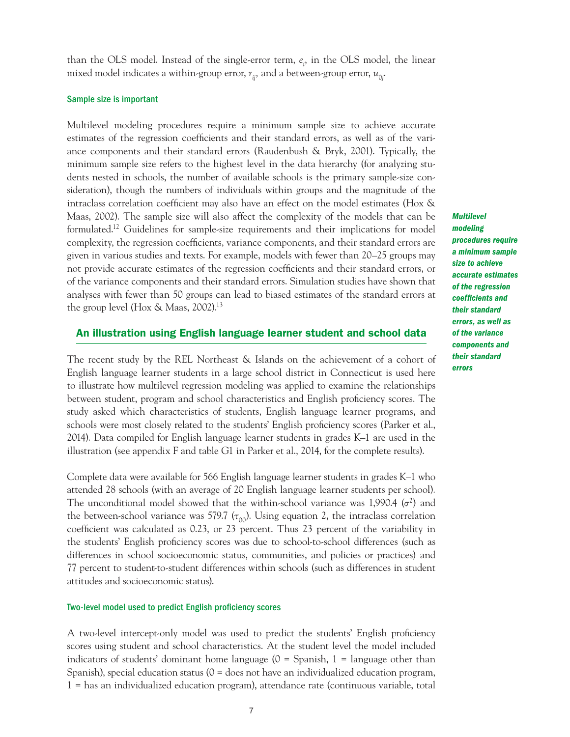than the OLS model. Instead of the single-error term, *ei* , in the OLS model, the linear mixed model indicates a within-group error,  $r_{ij}$ , and a between-group error,  $u_{0j}$ .

#### Sample size is important

Multilevel modeling procedures require a minimum sample size to achieve accurate estimates of the regression coefficients and their standard errors, as well as of the variance components and their standard errors (Raudenbush & Bryk, 2001). Typically, the minimum sample size refers to the highest level in the data hierarchy (for analyzing students nested in schools, the number of available schools is the primary sample-size consideration), though the numbers of individuals within groups and the magnitude of the intraclass correlation coefficient may also have an effect on the model estimates (Hox & Maas, 2002). The sample size will also affect the complexity of the models that can be formulated.12 Guidelines for sample-size requirements and their implications for model complexity, the regression coefficients, variance components, and their standard errors are given in various studies and texts. For example, models with fewer than 20–25 groups may not provide accurate estimates of the regression coefficients and their standard errors, or of the variance components and their standard errors. Simulation studies have shown that analyses with fewer than 50 groups can lead to biased estimates of the standard errors at the group level (Hox & Maas, 2002).13

An illustration using English language learner student and school data

The recent study by the REL Northeast & Islands on the achievement of a cohort of English language learner students in a large school district in Connecticut is used here to illustrate how multilevel regression modeling was applied to examine the relationships between student, program and school characteristics and English proficiency scores. The study asked which characteristics of students, English language learner programs, and schools were most closely related to the students' English proficiency scores (Parker et al., 2014). Data compiled for English language learner students in grades K–1 are used in the illustration (see appendix F and table G1 in Parker et al., 2014, for the complete results).

Complete data were available for 566 English language learner students in grades K–1 who attended 28 schools (with an average of 20 English language learner students per school). The unconditional model showed that the within-school variance was 1,990.4  $(\sigma^2)$  and the between-school variance was 579.7 ( $\tau_{00}$ ). Using equation 2, the intraclass correlation coefficient was calculated as 0.23, or 23 percent. Thus 23 percent of the variability in the students' English proficiency scores was due to school-to-school differences (such as differences in school socioeconomic status, communities, and policies or practices) and 77 percent to student-to-student differences within schools (such as differences in student attitudes and socioeconomic status).

#### Two-level model used to predict English proficiency scores

A two-level intercept-only model was used to predict the students' English proficiency scores using student and school characteristics. At the student level the model included indicators of students' dominant home language  $(0 -$  Spanish,  $1 -$  language other than Spanish), special education status (0 = does not have an individualized education program, 1 = has an individualized education program), attendance rate (continuous variable, total *Multilevel modeling procedures require a minimum sample size to achieve accurate estimates of the regression coefficients and their standard errors, as well as of the variance components and their standard errors*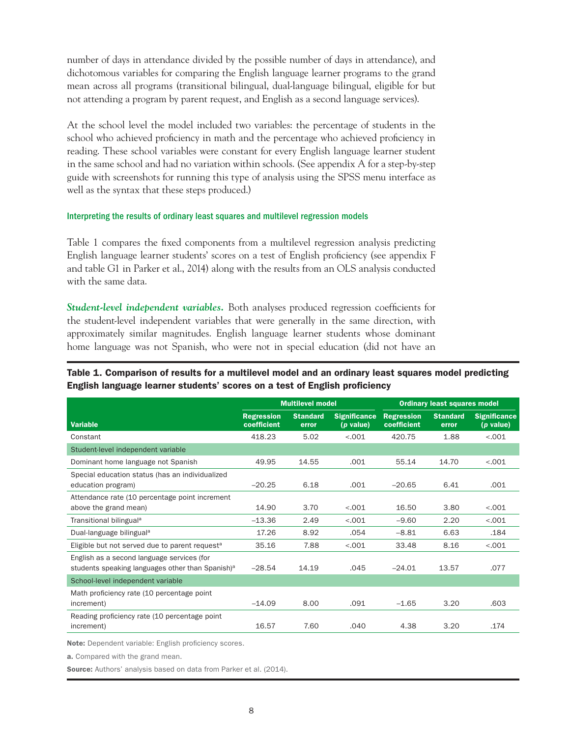number of days in attendance divided by the possible number of days in attendance), and dichotomous variables for comparing the English language learner programs to the grand mean across all programs (transitional bilingual, dual-language bilingual, eligible for but not attending a program by parent request, and English as a second language services).

At the school level the model included two variables: the percentage of students in the school who achieved proficiency in math and the percentage who achieved proficiency in reading. These school variables were constant for every English language learner student in the same school and had no variation within schools. (See appendix A for a step-by-step guide with screenshots for running this type of analysis using the SPSS menu interface as well as the syntax that these steps produced.)

#### Interpreting the results of ordinary least squares and multilevel regression models

Table 1 compares the fixed components from a multilevel regression analysis predicting English language learner students' scores on a test of English proficiency (see appendix F and table G1 in Parker et al., 2014) along with the results from an OLS analysis conducted with the same data.

*Student-level independent variables.* Both analyses produced regression coefficients for the student-level independent variables that were generally in the same direction, with approximately similar magnitudes. English language learner students whose dominant home language was not Spanish, who were not in special education (did not have an

|                                                                                                            | <b>Multilevel model</b>          |                          | <b>Ordinary least squares model</b>      |                                  |                          |                                          |
|------------------------------------------------------------------------------------------------------------|----------------------------------|--------------------------|------------------------------------------|----------------------------------|--------------------------|------------------------------------------|
| <b>Variable</b>                                                                                            | <b>Regression</b><br>coefficient | <b>Standard</b><br>error | <b>Significance</b><br>( <i>p</i> value) | <b>Regression</b><br>coefficient | <b>Standard</b><br>error | <b>Significance</b><br>( <i>p</i> value) |
| Constant                                                                                                   | 418.23                           | 5.02                     | < .001                                   | 420.75                           | 1.88                     | < 0.01                                   |
| Student-level independent variable                                                                         |                                  |                          |                                          |                                  |                          |                                          |
| Dominant home language not Spanish                                                                         | 49.95                            | 14.55                    | .001                                     | 55.14                            | 14.70                    | $-.001$                                  |
| Special education status (has an individualized<br>education program)                                      | $-20.25$                         | 6.18                     | .001                                     | $-20.65$                         | 6.41                     | .001                                     |
| Attendance rate (10 percentage point increment<br>above the grand mean)                                    | 14.90                            | 3.70                     | $-.001$                                  | 16.50                            | 3.80                     | $-.001$                                  |
| Transitional bilingual <sup>a</sup>                                                                        | $-13.36$                         | 2.49                     | $-.001$                                  | $-9.60$                          | 2.20                     | $-.001$                                  |
| Dual-language bilingual <sup>a</sup>                                                                       | 17.26                            | 8.92                     | .054                                     | $-8.81$                          | 6.63                     | .184                                     |
| Eligible but not served due to parent request <sup>a</sup>                                                 | 35.16                            | 7.88                     | < .001                                   | 33.48                            | 8.16                     | < 0.01                                   |
| English as a second language services (for<br>students speaking languages other than Spanish) <sup>a</sup> | $-28.54$                         | 14.19                    | .045                                     | $-24.01$                         | 13.57                    | .077                                     |
| School-level independent variable                                                                          |                                  |                          |                                          |                                  |                          |                                          |
| Math proficiency rate (10 percentage point<br>increment)                                                   | $-14.09$                         | 8.00                     | .091                                     | $-1.65$                          | 3.20                     | .603                                     |
| Reading proficiency rate (10 percentage point<br>increment)                                                | 16.57                            | 7.60                     | .040                                     | 4.38                             | 3.20                     | .174                                     |

#### Table 1. Comparison of results for a multilevel model and an ordinary least squares model predicting English language learner students' scores on a test of English proficiency

Note: Dependent variable: English proficiency scores.

a. Compared with the grand mean.

Source: Authors' analysis based on data from Parker et al. (2014).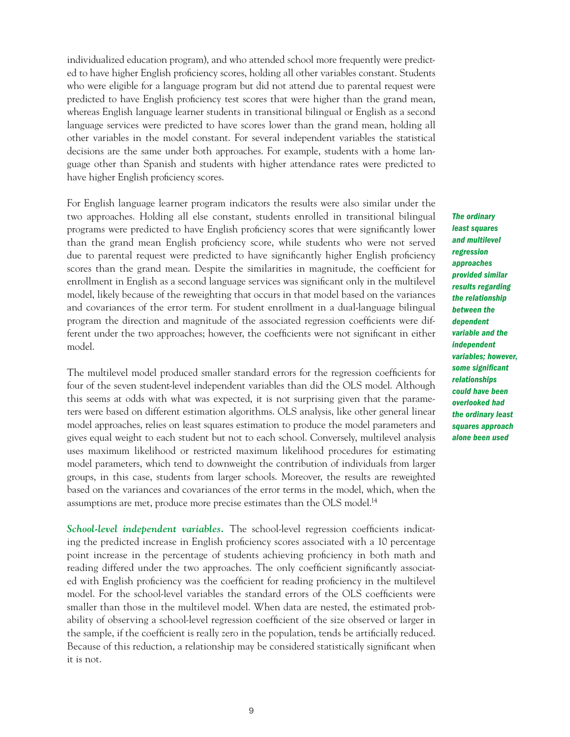individualized education program), and who attended school more frequently were predicted to have higher English proficiency scores, holding all other variables constant. Students who were eligible for a language program but did not attend due to parental request were predicted to have English proficiency test scores that were higher than the grand mean, whereas English language learner students in transitional bilingual or English as a second language services were predicted to have scores lower than the grand mean, holding all other variables in the model constant. For several independent variables the statistical decisions are the same under both approaches. For example, students with a home language other than Spanish and students with higher attendance rates were predicted to have higher English proficiency scores.

For English language learner program indicators the results were also similar under the two approaches. Holding all else constant, students enrolled in transitional bilingual programs were predicted to have English proficiency scores that were significantly lower than the grand mean English proficiency score, while students who were not served due to parental request were predicted to have significantly higher English proficiency scores than the grand mean. Despite the similarities in magnitude, the coefficient for enrollment in English as a second language services was significant only in the multilevel model, likely because of the reweighting that occurs in that model based on the variances and covariances of the error term. For student enrollment in a dual-language bilingual program the direction and magnitude of the associated regression coefficients were different under the two approaches; however, the coefficients were not significant in either model.

The multilevel model produced smaller standard errors for the regression coefficients for four of the seven student-level independent variables than did the OLS model. Although this seems at odds with what was expected, it is not surprising given that the parameters were based on different estimation algorithms. OLS analysis, like other general linear model approaches, relies on least squares estimation to produce the model parameters and gives equal weight to each student but not to each school. Conversely, multilevel analysis uses maximum likelihood or restricted maximum likelihood procedures for estimating model parameters, which tend to downweight the contribution of individuals from larger groups, in this case, students from larger schools. Moreover, the results are reweighted based on the variances and covariances of the error terms in the model, which, when the assumptions are met, produce more precise estimates than the OLS model.14

*School-level independent variables.* The school-level regression coefficients indicating the predicted increase in English proficiency scores associated with a 10 percentage point increase in the percentage of students achieving proficiency in both math and reading differed under the two approaches. The only coefficient significantly associated with English proficiency was the coefficient for reading proficiency in the multilevel model. For the school-level variables the standard errors of the OLS coefficients were smaller than those in the multilevel model. When data are nested, the estimated probability of observing a school-level regression coefficient of the size observed or larger in the sample, if the coefficient is really zero in the population, tends be artificially reduced. Because of this reduction, a relationship may be considered statistically significant when it is not.

*The ordinary least squares and multilevel regression approaches provided similar results regarding the relationship between the dependent variable and the independent variables; however, some significant relationships could have been overlooked had the ordinary least squares approach alone been used*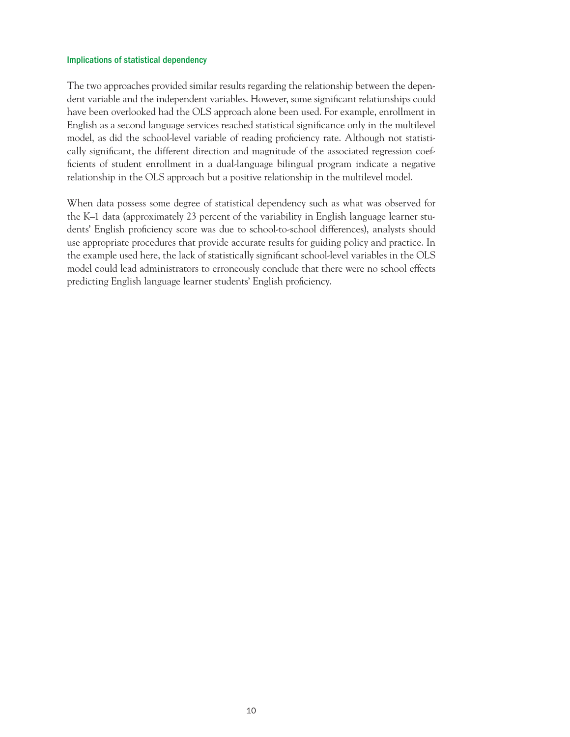#### Implications of statistical dependency

The two approaches provided similar results regarding the relationship between the dependent variable and the independent variables. However, some significant relationships could have been overlooked had the OLS approach alone been used. For example, enrollment in English as a second language services reached statistical significance only in the multilevel model, as did the school-level variable of reading proficiency rate. Although not statistically significant, the different direction and magnitude of the associated regression coefficients of student enrollment in a dual-language bilingual program indicate a negative relationship in the OLS approach but a positive relationship in the multilevel model.

When data possess some degree of statistical dependency such as what was observed for the K–1 data (approximately 23 percent of the variability in English language learner students' English proficiency score was due to school-to-school differences), analysts should use appropriate procedures that provide accurate results for guiding policy and practice. In the example used here, the lack of statistically significant school-level variables in the OLS model could lead administrators to erroneously conclude that there were no school effects predicting English language learner students' English proficiency.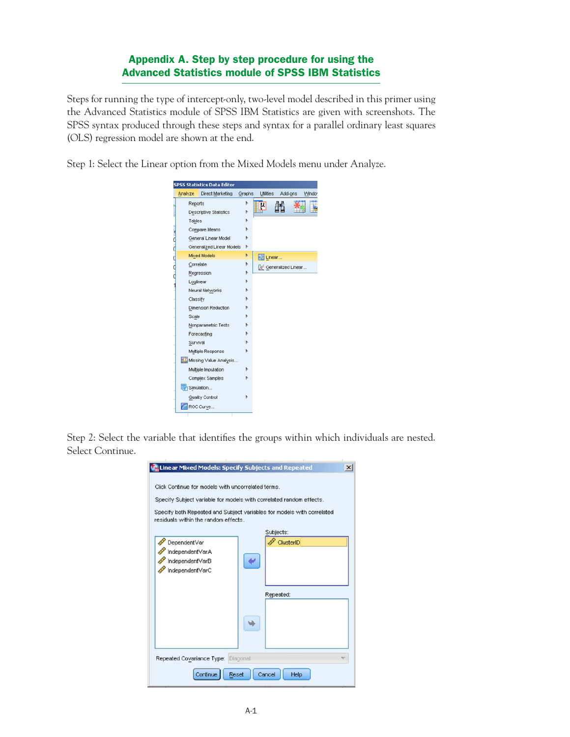# Appendix A. Step by step procedure for using the Advanced Statistics module of SPSS IBM Statistics

Steps for running the type of intercept-only, two-level model described in this primer using the Advanced Statistics module of SPSS IBM Statistics are given with screenshots. The SPSS syntax produced through these steps and syntax for a parallel ordinary least squares (OLS) regression model are shown at the end.

Step 1: Select the Linear option from the Mixed Models menu under Analyze.



Step 2: Select the variable that identifies the groups within which individuals are nested. Select Continue.

| Click Continue for models with uncorrelated terms.<br>residuals within the random effects. | Specify Subject variable for models with correlated random effects.<br>Specify both Repeated and Subject variables for models with correlated |
|--------------------------------------------------------------------------------------------|-----------------------------------------------------------------------------------------------------------------------------------------------|
| DependentVar<br>IndependentVarA<br>IndependentVarB<br>IndependentVarC                      | Subjects:<br>ClusterID<br>Repeated:                                                                                                           |
| Repeated Covariance Type: Diagonal                                                         |                                                                                                                                               |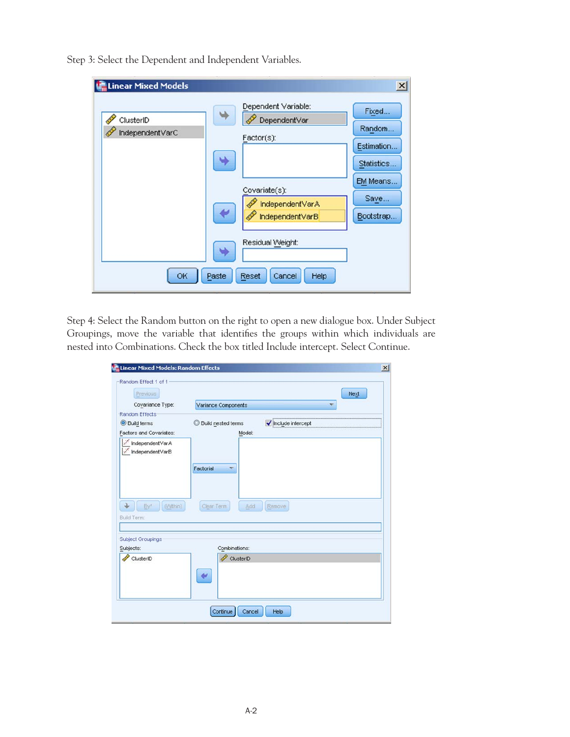| Linear Mixed Models<br>ClusterID<br>IndependentVarC | Dependent Variable:<br>DependentVar<br>Factor(s):<br>Covariate(s):<br>IndependentVarA<br>IndependentVarB | $\times$<br>Fixed.<br>Random.<br>Estimation.<br>Statistics.<br>EM Means.<br>Save<br>Bootstrap |
|-----------------------------------------------------|----------------------------------------------------------------------------------------------------------|-----------------------------------------------------------------------------------------------|
| OK                                                  | Residual Weight:<br>Paste<br>Reset<br>Cancel<br>Help                                                     |                                                                                               |

Step 3: Select the Dependent and Independent Variables.

Step 4: Select the Random button on the right to open a new dialogue box. Under Subject Groupings, move the variable that identifies the groups within which individuals are nested into Combinations. Check the box titled Include intercept. Select Continue.

| Previous                                                                 |                                         | Next              |
|--------------------------------------------------------------------------|-----------------------------------------|-------------------|
| Covariance Type:                                                         | Variance Components                     | ÷                 |
| <b>Random Effects</b><br><b>O</b> Build terms<br>Factors and Covariates: | Build nested terms<br>$\circ$<br>Model: | Include intercept |
| IndependentVarA<br>IndependentVarB<br>(Vythin)<br>By <sup>*</sup>        | Factorial<br>Clear Term<br>Add          | Remove            |
| <b>Build Term:</b><br>Subject Groupings<br>Subjects:                     | Combinations:                           |                   |
|                                                                          | ClusterID                               |                   |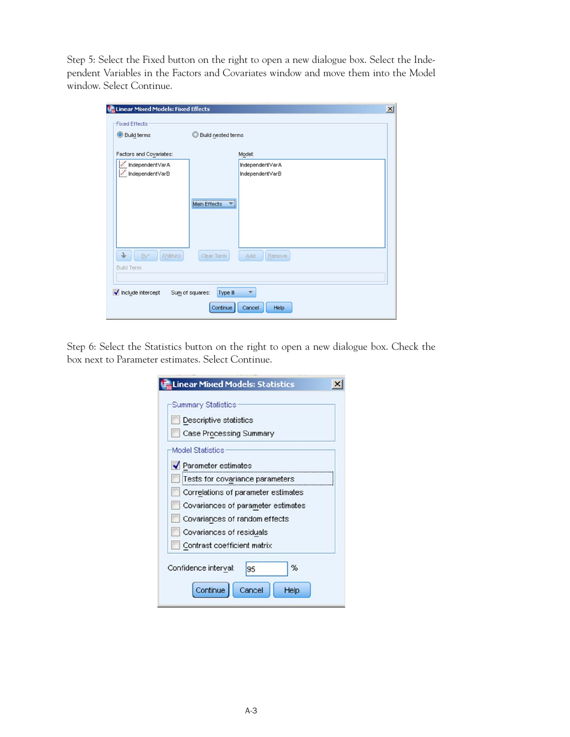Step 5: Select the Fixed button on the right to open a new dialogue box. Select the Independent Variables in the Factors and Covariates window and move them into the Model window. Select Continue.

| <b>Fixed Effects</b><br><b>O</b> Build terms | Build nested terms          |                                    |  |
|----------------------------------------------|-----------------------------|------------------------------------|--|
| Factors and Covariates:                      |                             | Model:                             |  |
| IndependentVarA<br>IndependentVarB           |                             | IndependentVarA<br>IndependentVarB |  |
|                                              | Main Effects                |                                    |  |
| (Within)<br>By*<br>Build Term:               | Clear Term                  | Add<br>Remove                      |  |
| Include intercept                            | Sum of squares:<br>Type III | $\overline{\phantom{a}}$           |  |

Step 6: Select the Statistics button on the right to open a new dialogue box. Check the box next to Parameter estimates. Select Continue.

|                         | <b>Summary Statistics</b>                 |    |   |  |
|-------------------------|-------------------------------------------|----|---|--|
|                         | Descriptive statistics                    |    |   |  |
|                         | Case Processing Summary                   |    |   |  |
| <b>Model Statistics</b> |                                           |    |   |  |
|                         | $\blacktriangleright$ Parameter estimates |    |   |  |
|                         | Tests for covariance parameters           |    |   |  |
|                         | Correlations of parameter estimates       |    |   |  |
|                         | Covariances of parameter estimates        |    |   |  |
|                         | Covariances of random effects             |    |   |  |
|                         | Covariances of residuals                  |    |   |  |
|                         | Contrast coefficient matrix               |    |   |  |
| Confidence interval:    |                                           | 95 | % |  |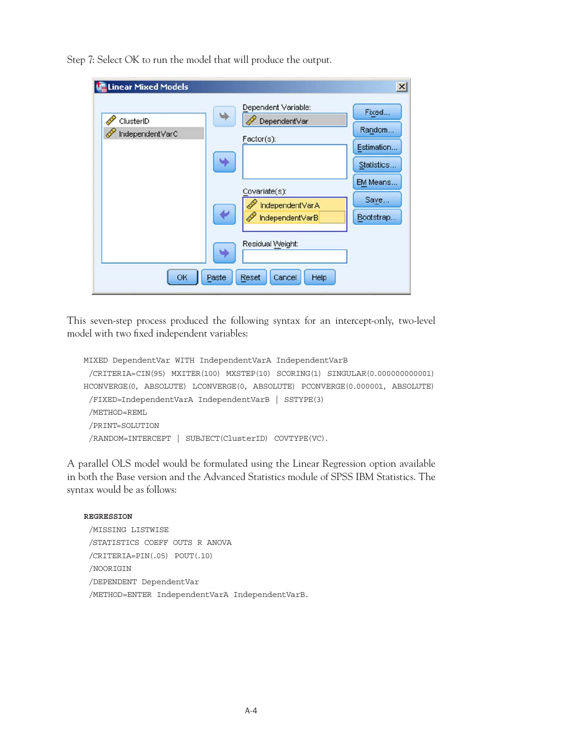| Linear Mixed Models          |                                                                                                          | $\mathbf{x}$                                                                        |
|------------------------------|----------------------------------------------------------------------------------------------------------|-------------------------------------------------------------------------------------|
| ClusterID<br>IndependentVarC | Dependent Variable:<br>DependentVar<br>Factor(s):<br>Covariate(s):<br>IndependentVarA<br>IndependentVarB | Fixed.<br>Random.<br>Estimation.<br>Statistics.<br>EM Means.<br>Save.<br>Bootstrap. |
| OK                           | Residual Weight:<br>Paste<br>Reset<br>Cancel<br>Help                                                     |                                                                                     |

Step 7: Select OK to run the model that will produce the output.

This seven-step process produced the following syntax for an intercept-only, two-level model with two fixed independent variables:

```
MIXED DependentVar WITH IndependentVarA IndependentVarB
  /CRITERIA=CIN(95) MXITER(100) MXSTEP(10) SCORING(1) SINGULAR(0.000000000001) 
HCONVERGE(0, ABSOLUTE) LCONVERGE(0, ABSOLUTE) PCONVERGE(0.000001, ABSOLUTE)
  /FIXED=IndependentVarA IndependentVarB | SSTYPE(3)
  /METHOD=REML
  /PRINT=SOLUTION
  /RANDOM=INTERCEPT | SUBJECT(ClusterID) COVTYPE(VC).
```
A parallel OLS model would be formulated using the Linear Regression option available in both the Base version and the Advanced Statistics module of SPSS IBM Statistics. The syntax would be as follows:

#### **REGRESSION**

 /MISSING LISTWISE /STATISTICS COEFF OUTS R ANOVA /CRITERIA=PIN(.05) POUT(.10) /NOORIGIN /DEPENDENT DependentVar /METHOD=ENTER IndependentVarA IndependentVarB.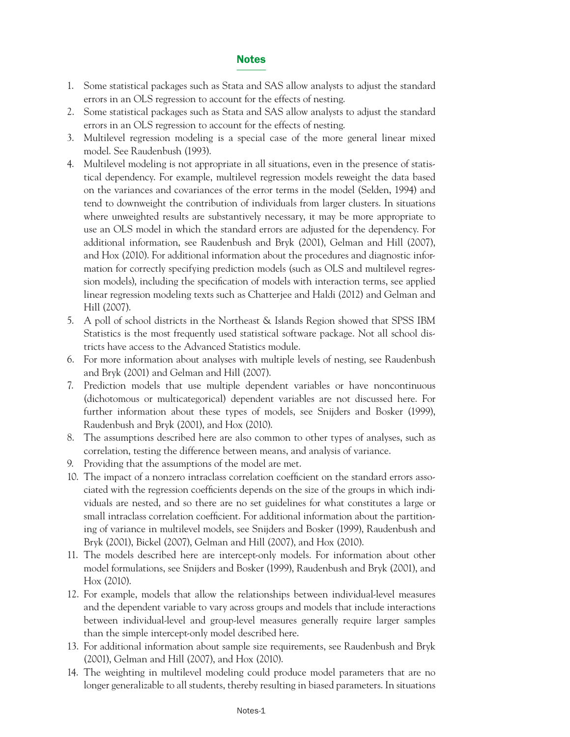# Notes

- 1. Some statistical packages such as Stata and SAS allow analysts to adjust the standard errors in an OLS regression to account for the effects of nesting.
- 2. Some statistical packages such as Stata and SAS allow analysts to adjust the standard errors in an OLS regression to account for the effects of nesting.
- 3. Multilevel regression modeling is a special case of the more general linear mixed model. See Raudenbush (1993).
- 4. Multilevel modeling is not appropriate in all situations, even in the presence of statistical dependency. For example, multilevel regression models reweight the data based on the variances and covariances of the error terms in the model (Selden, 1994) and tend to downweight the contribution of individuals from larger clusters. In situations where unweighted results are substantively necessary, it may be more appropriate to use an OLS model in which the standard errors are adjusted for the dependency. For additional information, see Raudenbush and Bryk (2001), Gelman and Hill (2007), and Hox (2010). For additional information about the procedures and diagnostic information for correctly specifying prediction models (such as OLS and multilevel regression models), including the specification of models with interaction terms, see applied linear regression modeling texts such as Chatterjee and Haldi (2012) and Gelman and Hill (2007).
- 5. A poll of school districts in the Northeast & Islands Region showed that SPSS IBM Statistics is the most frequently used statistical software package. Not all school districts have access to the Advanced Statistics module.
- 6. For more information about analyses with multiple levels of nesting, see Raudenbush and Bryk (2001) and Gelman and Hill (2007).
- 7. Prediction models that use multiple dependent variables or have noncontinuous (dichotomous or multicategorical) dependent variables are not discussed here. For further information about these types of models, see Snijders and Bosker (1999), Raudenbush and Bryk (2001), and Hox (2010).
- 8. The assumptions described here are also common to other types of analyses, such as correlation, testing the difference between means, and analysis of variance.
- 9. Providing that the assumptions of the model are met.
- 10. The impact of a nonzero intraclass correlation coefficient on the standard errors associated with the regression coefficients depends on the size of the groups in which individuals are nested, and so there are no set guidelines for what constitutes a large or small intraclass correlation coefficient. For additional information about the partitioning of variance in multilevel models, see Snijders and Bosker (1999), Raudenbush and Bryk (2001), Bickel (2007), Gelman and Hill (2007), and Hox (2010).
- 11. The models described here are intercept-only models. For information about other model formulations, see Snijders and Bosker (1999), Raudenbush and Bryk (2001), and Hox (2010).
- 12. For example, models that allow the relationships between individual-level measures and the dependent variable to vary across groups and models that include interactions between individual-level and group-level measures generally require larger samples than the simple intercept-only model described here.
- 13. For additional information about sample size requirements, see Raudenbush and Bryk (2001), Gelman and Hill (2007), and Hox (2010).
- 14. The weighting in multilevel modeling could produce model parameters that are no longer generalizable to all students, thereby resulting in biased parameters. In situations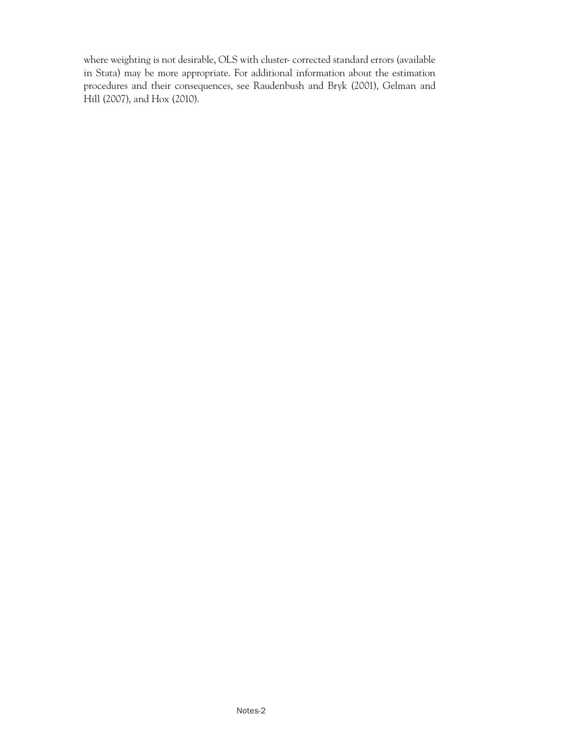where weighting is not desirable, OLS with cluster- corrected standard errors (available in Stata) may be more appropriate. For additional information about the estimation procedures and their consequences, see Raudenbush and Bryk (2001), Gelman and Hill (2007), and Hox (2010).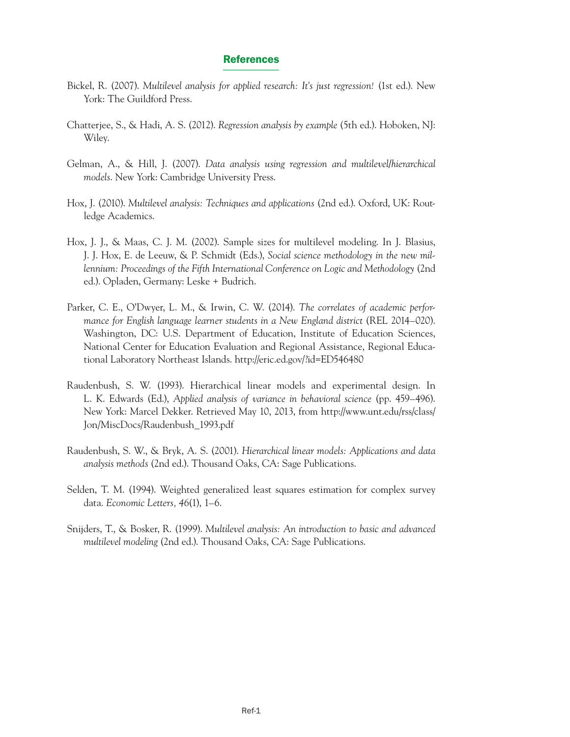#### References

- Bickel, R. (2007). *Multilevel analysis for applied research: It's just regression!* (1st ed.). New York: The Guildford Press.
- Chatterjee, S., & Hadi, A. S. (2012). *Regression analysis by example* (5th ed.). Hoboken, NJ: Wiley.
- Gelman, A., & Hill, J. (2007). *Data analysis using regression and multilevel/hierarchical models*. New York: Cambridge University Press.
- Hox, J. (2010). *Multilevel analysis: Techniques and applications* (2nd ed.). Oxford, UK: Routledge Academics.
- Hox, J. J., & Maas, C. J. M. (2002). Sample sizes for multilevel modeling. In J. Blasius, J. J. Hox, E. de Leeuw, & P. Schmidt (Eds.), *Social science methodology in the new millennium: Proceedings of the Fifth International Conference on Logic and Methodology* (2nd ed.). Opladen, Germany: Leske + Budrich.
- *mance for English language learner students in a New England district* (REL 2014–020). Parker, C. E., O'Dwyer, L. M., & Irwin, C. W. (2014). *The correlates of academic perfor-*Washington, DC: U.S. Department of Education, Institute of Education Sciences, National Center for Education Evaluation and Regional Assistance, Regional Educational Laboratory Northeast Islands. http://eric.ed.gov/?id=ED546480
- L. K. Edwards (Ed.), *Applied analysis of variance in behavioral science* (pp. 459–496).<br>New York: Marcel Dekker. Retrieved May 10, 2013, from http://www.unt.edu/rss/class/ Raudenbush, S. W. (1993). Hierarchical linear models and experimental design. In Jon/MiscDocs/Raudenbush\_1993.pdf
- Raudenbush, S. W., & Bryk, A. S. (2001). *Hierarchical linear models: Applications and data analysis methods* (2nd ed.). Thousand Oaks, CA: Sage Publications.
- Selden, T. M. (1994). Weighted generalized least squares estimation for complex survey data. *Economic Letters, 46*(1), 1–6.
- Snijders, T., & Bosker, R. (1999). *Multilevel analysis: An introduction to basic and advanced multilevel modeling* (2nd ed.). Thousand Oaks, CA: Sage Publications.